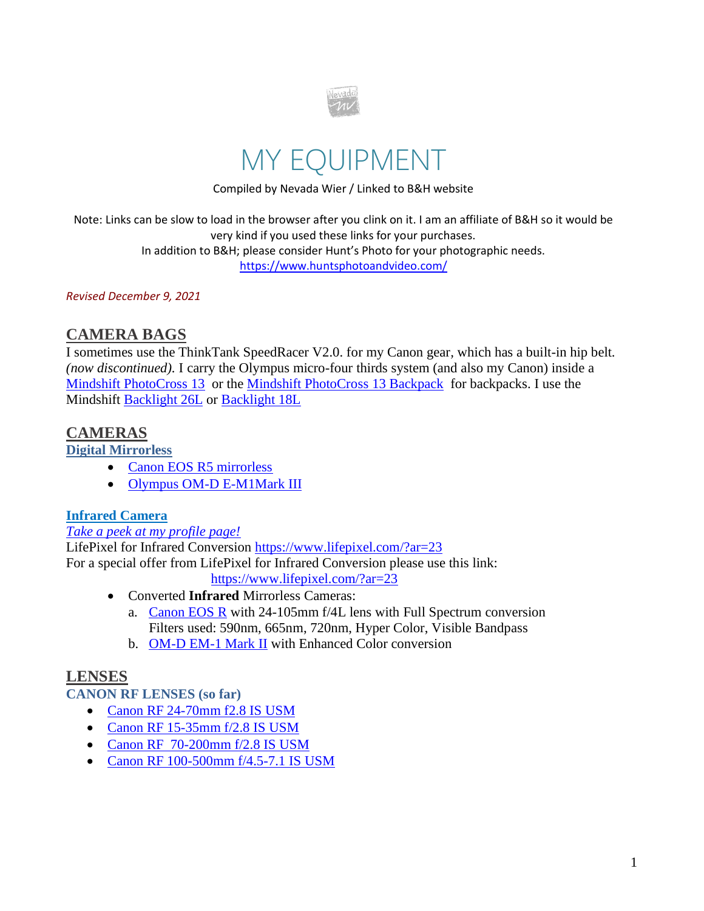

# MY EQUIPMENT

Compiled by Nevada Wier / Linked to B&H website

Note: Links can be slow to load in the browser after you clink on it. I am an affiliate of B&H so it would be very kind if you used these links for your purchases. In addition to B&H; please consider Hunt's Photo for your photographic needs. <https://www.huntsphotoandvideo.com/>

*Revised December 9, 2021*

# **CAMERA BAGS**

I sometimes use the ThinkTank SpeedRacer V2.0. for my Canon gear*,* which has a built-in hip belt. *(now discontinued).* I carry the Olympus micro-four thirds system (and also my Canon) inside a [Mindshift PhotoCross 13](https://www.mindshiftgear.com/products/photocross-13/?rfsn=141253.1cb67) or the [Mindshift PhotoCross 13 Backpack](https://www.thinktankphoto.com/collections/mindshift-gear-sling-shoulder-bags/products/photocross-13-backpack/?rfsn=141253.1cb67) for backpacks. I use the Mindshift [Backlight 26L](https://www.thinktankphoto.com/collections/backlight-series/products/backlight-26l/?rfsn=141253.1cb67) or [Backlight 18L](https://www.thinktankphoto.com/collections/backlight-series/products/backlight-26l/?rfsn=141253.1cb67)

# **CAMERAS**

**Digital Mirrorless**

- [Canon EOS R5 mirrorless](https://www.bhphotovideo.com/c/product/1547009-REG/canon_eos_r5_mirrorless_digital.html/BI/6668/KBID/7261)
- [Olympus OM-D E-M1Mark III](https://www.bhphotovideo.com/c/product/1540739-REG/olympus_v207100bu000_om_d_e_m1_mark_iii.html/BI/6668/KBID/7261)

### **Infrared Camera**

### *[Take a peek at my profile page!](https://www.lifepixel.com/galleries/infrared-photography-gallery/nevada-wier-infrared-gallery)*

LifePixel for Infrared Conversion<https://www.lifepixel.com/?ar=23> For a special offer from LifePixel for Infrared Conversion please use this link: <https://www.lifepixel.com/?ar=23>

- Converted **Infrared** Mirrorless Cameras:
	- a. [Canon EOS R](https://www.bhphotovideo.com/c/product/1433711-REG/canon_eos_r_mirrorless_digital.html) with 24-105mm f/4L lens with Full Spectrum conversion Filters used: 590nm, 665nm, 720nm, Hyper Color, Visible Bandpass
	- b. [OM-D EM-1 Mark II](https://www.bhphotovideo.com/c/product/1283565-REG/olympus_om_d_e_m1_mark_ii.html) with Enhanced Color conversion

### **LENSES**

**CANON RF LENSES (so far)**

- [Canon RF 24-70mm f2.8 IS USM](https://www.bhphotovideo.com/c/product/1502500-REG/canon_3680c002_rf_24_70mm_f_2_8l_is.html?sts=pi-ps&pim=Y/BI/6668/KBID/7261)
- [Canon RF 15-35mm f/2.8 IS USM](https://www.bhphotovideo.com/c/product/1502499-REG/canon_3682c002_rf_15_35mm_f_2_8l_is.html/BI/6668/KBID/7261)
- [Canon RF 70-200mm f/2.8 IS USM](https://www.bhphotovideo.com/c/product/1510031-REG/canon_rf_70_200mm_f_2_8l_is.html/BI/6668/KBID/7261)
- Canon RF [100-500mm f/4.5-7.1 IS USM](https://www.bhphotovideo.com/c/product/1547011-REG/canon_rf_100_500mm_f_4_6_3l_is.html/BI/6668/KBID/7261)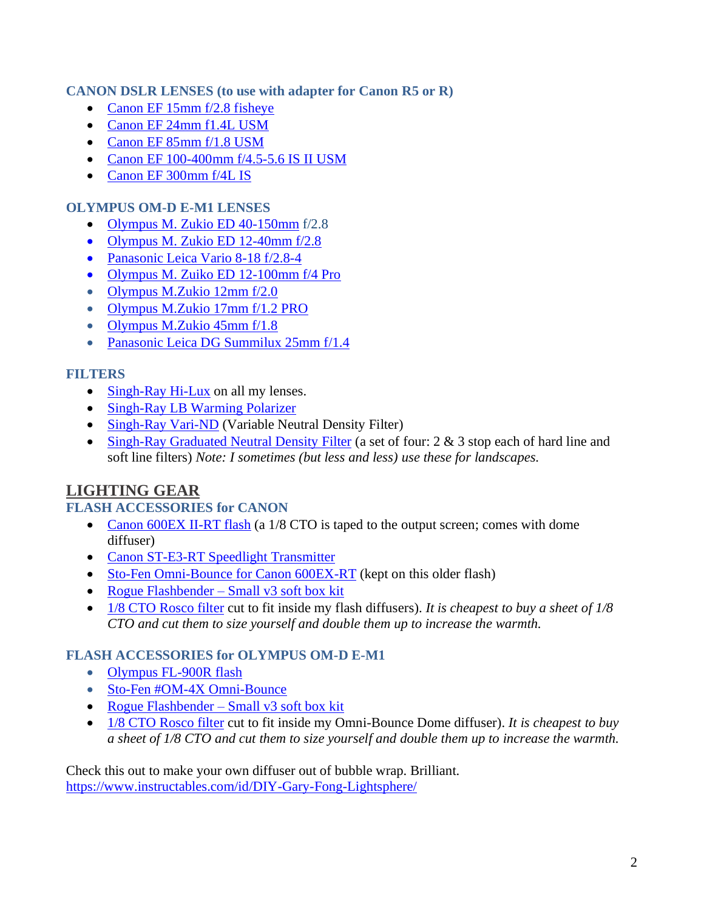### **CANON DSLR LENSES (to use with adapter for Canon R5 or R)**

- [Canon EF 15mm f/2.8 fisheye](http://www.bhphotovideo.com/c/product/12069-USA/Canon_2535A003_Fisheye_EF_15mm_f_2_8.html/BI/6668/KBID/7261)
- [Canon EF 24mm f1.4L USM](http://www.bhphotovideo.com/c/product/590449-USA/Canon_2750B002_EF_24mm_f_1_4L_II.html/BI/6668/KBID/7261)
- [Canon EF 85mm f/1.8](http://www.bhphotovideo.com/c/product/12182-USA/Canon_2519A003_85mm_f_1_8_USM_Autofocus.html/BI/6668/KBID/7261) USM
- [Canon EF 100-400mm f/4.5-5.6 IS II USM](https://www.bhphotovideo.com/c/product/1092632-REG/canon_9524b002_ef_100_400mm_f_4_5_5_6l_is.html/BI/6668/KBID/7261)
- [Canon EF 300mm f/4L IS](http://www.bhphotovideo.com/c/product/183202-USA/Canon_2531A002_Telephoto_EF_300mm_f_2_8L.html/BI/6668/KBID/7261)

### **OLYMPUS OM-D E-M1 LENSES**

- [Olympus M. Zukio ED 40-150mm](http://www.bhphotovideo.com/c/product/1082046-REG/olympus_v315050bu000_m_zuiko_digital_ed_40_150mm.html/BI/6668/KBID/7261) f/2.8
- [Olympus M. Zukio](http://www.bhphotovideo.com/c/product/1003635-REG/olympus_v314060bu000_m_zuiko_digital_ed.html/BI/6668/KBID/7261) ED 12-40mm f/2.8
- [Panasonic Leica Vario 8-18 f/2.8-4](https://www.bhphotovideo.com/c/product/1457368-REG/panasonic_leica_dg_vario_elmarit_8_18mm.html/BI/6668/KBID/7261)
- [Olympus M. Zuiko ED 12-100mm f/4 Pro](https://www.bhphotovideo.com/c/product/1281427-REG/olympus_v314080bu000_m_zuiko_digital_ed_12_100mm.html/BI/6668/KBID/7261)
- [Olympus M.Zukio 12mm f/2.0](http://www.bhphotovideo.com/c/product/805167-REG/Olympus_V311020SU000_M_Zuiko_Digital_ED.html/BI/6668/KBID/7261)
- [Olympus M.Zukio 17mm f/1.2 PRO](https://www.bhphotovideo.com/c/search?Ntt=olympus%20m.zuiko%20digital%20ed%2017mm%20f%2F1.2%20pro%20lens&N=0&InitialSearch=yes&sts=ps/BI/6668/KBID/7261)
- [Olympus M.Zukio 45mm f/1.8](http://www.bhphotovideo.com/c/product/805165-REG/Olympus_V311030SU000_M_Zuiko_Digital_ED.html/BI/6668/KBID/7261)
- [Panasonic Leica DG Summilux 25mm f/1.4](http://www.bhphotovideo.com/c/product/768816-REG/Panasonic_H_X025_Leica_DG_Summilux_25.html/BI/6668/KBID/7261)

### **FILTERS**

- [Singh-Ray Hi-Lux](http://www.bhphotovideo.com/c/search?Ntt=%95%09Singh-Ray+Hi-Lux&N=0&InitialSearch=yes&BI=6668&KBID=7261) on all my lenses.
- [Singh-Ray LB Warming Polarizer](http://www.bhphotovideo.com/c/search?Ntt=%95%09Singh-Ray+LB+Warming+Polarizer&N=0&InitialSearch=yes&BI=6668&KBID=7261)
- [Singh-Ray Vari-ND](http://www.bhphotovideo.com/c/search?Ntt=%95%09Singh-Ray+Vari-ND&N=0&InitialSearch=yes&BI=6668&KBID=7261) (Variable Neutral Density Filter)
- [Singh-Ray Graduated Neutral Density Filter](http://www.bhphotovideo.com/c/search?Ntt=%95%09Singh-Ray+Graduated+Neutral+Density+Filter&N=0&InitialSearch=yes&BI=6668&KBID=7261) (a set of four: 2 & 3 stop each of hard line and soft line filters) *Note: I sometimes (but less and less) use these for landscapes.*

# **LIGHTING GEAR**

### **FLASH ACCESSORIES for CANON**

- [Canon 600EX II-RT flash](https://www.bhphotovideo.com/c/product/1250646-REG/canon_speedlite_600ex_ii_rt.html?sts=pi/BI/6668/KBID/7261) (a 1/8 CTO is taped to the output screen; comes with dome diffuser)
- [Canon ST-E3-RT Speedlight Transmitter](http://www.bhphotovideo.com/c/search?Ntt=Canon+-+ST-E3-RT+Speedlite+Transmitter&N=0&InitialSearch=yes&sts=ma/BI/6668/KBID/7261)
- [Sto-Fen Omni-Bounce](http://www.bhphotovideo.com/c/search?Ntt=Sto-Fen+-+OM-ET+Omni-Bounce+for+Canon+600EX-RT&N=0&InitialSearch=yes&sts=ma/BI/6668/KBID/7261) for Canon 600EX-RT (kept on this older flash)
- [Rogue Flashbender –](http://www.bhphotovideo.com/c/product/707211-REG/ExpoImaging_ROGUERESM_Rogue_FlashBender_Small_Positionable.html/BI/6668/KBID/7261) Small v3 soft box kit
- [1/8 CTO Rosco filter](https://www.bhphotovideo.com/c/product/44207-REG/Rosco_RS341011_3410_Filter_RoscoSun.html/BI=6668&KBID=7261) cut to fit inside my flash diffusers). *It is cheapest to buy a sheet of 1/8 CTO and cut them to size yourself and double them up to increase the warmth.*

### **FLASH ACCESSORIES for OLYMPUS OM-D E-M1**

- [Olympus FL-900R flash](https://www.bhphotovideo.com/c/product/1281432-REG/olympus_v326170bw000_fl_900r_flash.html?sts=pi-ps/BI/6668/KBID/7261)
- [Sto-Fen #OM-4X Omni-Bounce](http://www.bhphotovideo.com/c/product/359280-REG/Sto_Fen_OM_4X_OM_4X_Omni_Bounce.html/BI/6668/KBID/7261)
- [Rogue Flashbender –](http://www.bhphotovideo.com/c/product/707211-REG/ExpoImaging_ROGUERESM_Rogue_FlashBender_Small_Positionable.html/BI/6668/KBID/7261) Small v3 soft box kit
- [1/8 CTO Rosco filter](https://www.bhphotovideo.com/c/product/44207-REG/Rosco_RS341011_3410_Filter_RoscoSun.html/BI=6668&KBID=7261) cut to fit inside my Omni-Bounce Dome diffuser). *It is cheapest to buy a sheet of 1/8 CTO and cut them to size yourself and double them up to increase the warmth.*

Check this out to make your own diffuser out of bubble wrap. Brilliant. <https://www.instructables.com/id/DIY-Gary-Fong-Lightsphere/>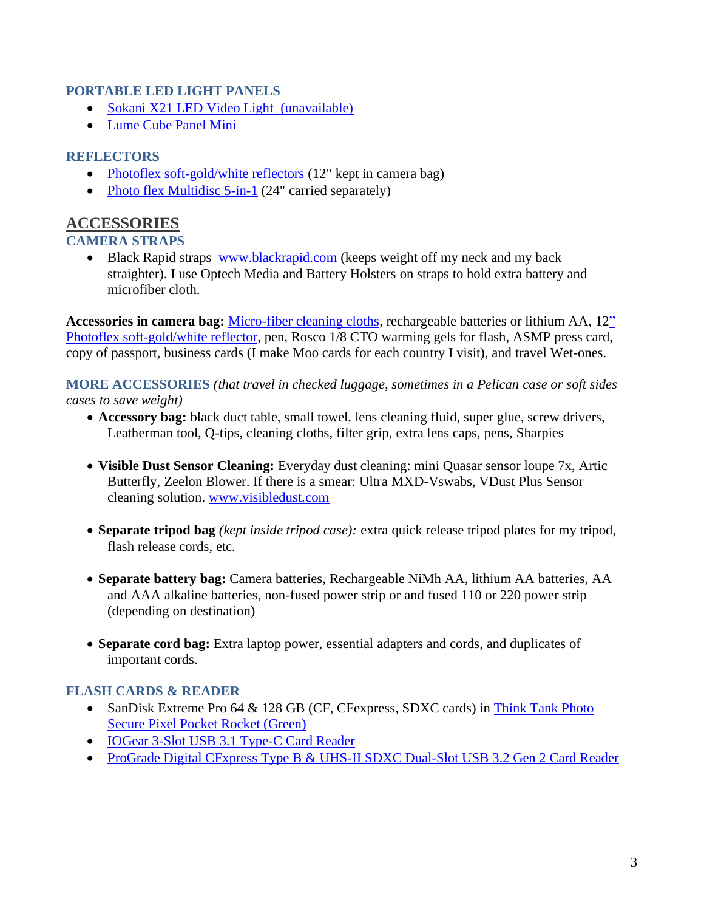#### **PORTABLE LED LIGHT PANELS**

- [Sokani X21 LED Video Light](https://www.amazon.com/gp/product/B07DFYWN4G/ref=ppx_yo_dt_b_search_asin_title?ie=UTF8&psc=1) (unavailable)
- [Lume Cube Panel Mini](https://www.bhphotovideo.com/c/product/1566633-REG/lume_cube_lc_panelmini1_panel_mini.html/BI/6668/KBID/7261)

### **REFLECTORS**

- [Photoflex soft-gold/white reflectors](http://www.bhphotovideo.com/c/product/42078-REG/Photoflex_DL_1512ZZ_LiteDisc_Circular_Reflector_Soft.html/BI/6668/KBID/7261) (12" kept in camera bag)
- [Photo flex Multidisc 5-in-1](http://www.bhphotovideo.com/c/search?Ntt=%95%09Photo+flex+Multidisc+5-in-1&N=0&InitialSearch=yes&BI=6668&KBID=7261) (24" carried separately)

# **ACCESSORIES**

### **CAMERA STRAPS**

• Black Rapid straps [www.blackrapid.com](http://www.blackrapid.com/) (keeps weight off my neck and my back straighter). I use Optech Media and Battery Holsters on straps to hold extra battery and microfiber cloth.

**Accessories in camera bag:** [Micro-fiber cleaning cloths,](http://www.bhphotovideo.com/c/search?Ntt=%95%09Micro-fiber+cleaning+cloths&N=0&InitialSearch=yes&BI=6668&KBID=7261) rechargeable batteries or lithium AA, 1[2"](http://www.bhphotovideo.com/c/product/42078-REG/Photoflex_DL_1512ZZ_LiteDisc_Circular_Reflector_Soft.html/BI/6668/KBID/7261)  [Photoflex soft-gold/white reflector,](http://www.bhphotovideo.com/c/product/42078-REG/Photoflex_DL_1512ZZ_LiteDisc_Circular_Reflector_Soft.html/BI/6668/KBID/7261) pen, Rosco 1/8 CTO warming gels for flash, ASMP press card, copy of passport, business cards (I make Moo cards for each country I visit), and travel Wet-ones.

**MORE ACCESSORIES** *(that travel in checked luggage, sometimes in a Pelican case or soft sides cases to save weight)*

- **Accessory bag:** black duct table, small towel, lens cleaning fluid, super glue, screw drivers, Leatherman tool, Q-tips, cleaning cloths, filter grip, extra lens caps, pens, [Sharpies](http://www.bhphotovideo.com/c/search?Ntt=Sharpies&N=0&InitialSearch=yes&BI=6668&KBID=7261)
- **Visible Dust Sensor Cleaning:** Everyday dust cleaning: mini Quasar sensor loupe 7x, Artic Butterfly, Zeelon Blower. If there is a smear: Ultra MXD-Vswabs, VDust Plus Sensor cleaning solution. [www.visibledust.com](http://www.visibledust.com/)
- **Separate tripod bag** *(kept inside tripod case):* extra quick release tripod plates for my tripod, flash release cords, etc.
- **Separate battery bag:** Camera batteries, Rechargeable NiMh AA, lithium AA batteries, AA and AAA alkaline batteries, non-fused power strip or and fused 110 or 220 power strip (depending on destination)
- **Separate cord bag:** Extra laptop power, essential adapters and cords, and duplicates of important cords.

### **FLASH CARDS & READER**

- SanDisk Extreme Pro 64 & 128 GB (CF, CFexpress, SDXC cards) in Think Tank Photo [Secure Pixel Pocket Rocket \(Green\)](https://www.bhphotovideo.com/c/product/1458241-REG/think_tank_photo_740232_secure_pixel_pocket_rocket.html)
- [IOGear 3-Slot USB 3.1 Type-C Card Reader](https://www.bhphotovideo.com/c/product/1260325-REG/iogear_gfr3c13_usb_c_3_slot_card_reader_writer.html/BI/6668/KBID)
- [ProGrade Digital CFxpress Type B & UHS-II SDXC Dual-Slot USB 3.2 Gen 2 Card Reader](https://www.bhphotovideo.com/c/product/1548490-REG/prograde_digital_pgrwcfxsdana_digital_cfxb_sdxc_sdhc_usb_3_1.html/BI/6668/KBID)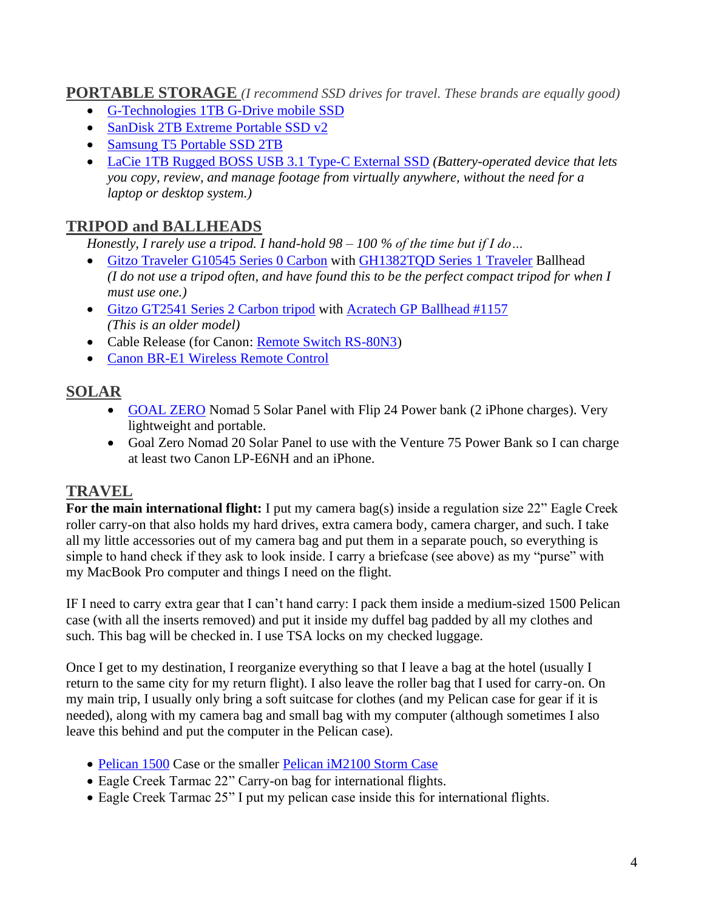### **PORTABLE STORAGE** *(I recommend SSD drives for travel. These brands are equally good)*

- [G-Technologies](https://www.bhphotovideo.com/c/product/1365963-REG/g_technology_0g06053_1tb_g_drive_mobile_ssd.html/BI/6668/KBID/7261) 1TB G-Drive mobile SSD
- [SanDisk 2TB Extreme Portable SSD v2](https://www.bhphotovideo.com/c/product/1595432-REG/sandisk_sdssde61_2t00_g25_2tb_extreme_portable_ssd.html/BI/6668/KBID/7261)
- [Samsung](https://www.bhphotovideo.com/c/product/1346578-REG/samsung_mu_pa2t0b_am_t5_2tb_portable_ssd.html/BI/6668/KBID/7261) T5 Portable SSD 2TB
- [LaCie 1TB Rugged BOSS USB 3.1 Type-C External SSD](https://www.bhphotovideo.com/c/product/1503997-REG/lacie_stjb1000800_1tb_rugged_boss_ssd.html/BI/6668/KBID/7261) *(Battery-operated device that lets you copy, review, and manage footage from virtually anywhere, without the need for a laptop or desktop system.)*

# **TRIPOD and BALLHEADS**

*Honestly, I rarely use a tripod. I hand-hold 98 – 100 % of the time but if I do…*

- [Gitzo Traveler G10545 Series 0 Carbon](https://www.bhphotovideo.com/c/product/1328226-REG/gitzo_gk0545t_82tqdus_traveler_tripod_kit_gt0545t.html/BI/6668/KBID/7261) with [GH1382TQD Series 1 Traveler](https://www.bhphotovideo.com/c/product/1175122-REG/gitzo_gh1382tqd_series_1_traveler.html/BI/6668/KBID/7261) Ballhead *(I do not use a tripod often, and have found this to be the perfect compact tripod for when I must use one.)*
- [Gitzo GT2541 Series 2 Carbon tripod](http://www.bhphotovideo.com/c/product/567541-REG/Gitzo_GT2541_GT2541_Mountaineer_6X_Carbon.html/BI/6668/KBID/7261) with [Acratech GP Ballhead #1157](http://acratech.net/) *(This is an older model)*
- Cable Release (for Canon: [Remote Switch RS-80N3\)](http://www.bhphotovideo.com/c/product/164276-REG/Canon_2476A001.html/BI/6668/KBID/7261)
- [Canon BR-E1 Wireless Remote Control](https://www.bhphotovideo.com/c/product/1318786-REG/canon_2140c001_br_e1_wireless_remote_control.html/BI/6668/KBID/7261)

# **SOLAR**

- [GOAL ZERO](https://www.goalzero.com/) Nomad 5 Solar Panel with Flip 24 Power bank (2 iPhone charges). Very lightweight and portable.
- Goal Zero Nomad 20 Solar Panel to use with the Venture 75 Power Bank so I can charge at least two Canon LP-E6NH and an iPhone.

# **TRAVEL**

**For the main international flight:** I put my camera bag(s) inside a regulation size 22" Eagle Creek roller carry-on that also holds my hard drives, extra camera body, camera charger, and such. I take all my little accessories out of my camera bag and put them in a separate pouch, so everything is simple to hand check if they ask to look inside. I carry a briefcase (see above) as my "purse" with my MacBook Pro computer and things I need on the flight.

IF I need to carry extra gear that I can't hand carry: I pack them inside a medium-sized 1500 Pelican case (with all the inserts removed) and put it inside my duffel bag padded by all my clothes and such. This bag will be checked in. I use TSA locks on my checked luggage.

Once I get to my destination, I reorganize everything so that I leave a bag at the hotel (usually I return to the same city for my return flight). I also leave the roller bag that I used for carry-on. On my main trip, I usually only bring a soft suitcase for clothes (and my Pelican case for gear if it is needed), along with my camera bag and small bag with my computer (although sometimes I also leave this behind and put the computer in the Pelican case).

- [Pelican 1500](http://www.bhphotovideo.com/c/product/415671-REG/Pelican_1500_000_190_1500_Case_with_Foam.html/BI/6668/KBID/7261) Case or the smaller [Pelican iM2100 Storm Case](http://www.bhphotovideo.com/c/product/568913-REG/Hardigg_Storm_Case_IM2100_00000_iM2100_Storm_Case_without.html/BI/6668/KBID/7261)
- Eagle Creek Tarmac 22" Carry-on bag for international flights.
- Eagle Creek Tarmac 25" I put my pelican case inside this for international flights.